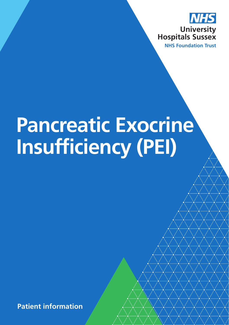

# **Pancreatic Exocrine Insufficiency (PEI)**

**Patient information**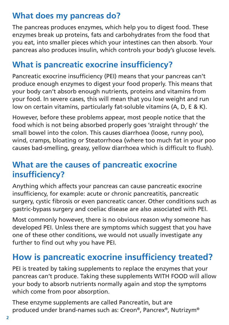## **What does my pancreas do?**

The pancreas produces enzymes, which help you to digest food. These enzymes break up proteins, fats and carbohydrates from the food that you eat, into smaller pieces which your intestines can then absorb. Your pancreas also produces insulin, which controls your body's glucose levels.

## **What is pancreatic exocrine insufficiency?**

Pancreatic exocrine insufficiency (PEI) means that your pancreas can't produce enough enzymes to digest your food properly. This means that your body can't absorb enough nutrients, proteins and vitamins from your food. In severe cases, this will mean that you lose weight and run low on certain vitamins, particularly fat-soluble vitamins (A, D, E & K).

However, before these problems appear, most people notice that the food which is not being absorbed properly goes 'straight through' the small bowel into the colon. This causes diarrhoea (loose, runny poo), wind, cramps, bloating or Steatorrhoea (where too much fat in your poo causes bad-smelling, greasy, yellow diarrhoea which is difficult to flush).

#### **What are the causes of pancreatic exocrine insufficiency?**

Anything which affects your pancreas can cause pancreatic exocrine insufficiency, for example: acute or chronic pancreatitis, pancreatic surgery, cystic fibrosis or even pancreatic cancer. Other conditions such as gastric-bypass surgery and coeliac disease are also associated with PEI.

Most commonly however, there is no obvious reason why someone has developed PEI. Unless there are symptoms which suggest that you have one of these other conditions, we would not usually investigate any further to find out why you have PEI.

# **How is pancreatic exocrine insufficiency treated?**

PEI is treated by taking supplements to replace the enzymes that your pancreas can't produce. Taking these supplements WITH FOOD will allow your body to absorb nutrients normally again and stop the symptoms which come from poor absorption.

These enzyme supplements are called Pancreatin, but are produced under brand-names such as: Creon®, Pancrex®, Nutrizym®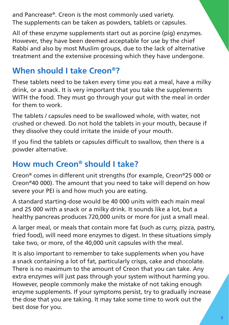and Pancrease®. Creon is the most commonly used variety. The supplements can be taken as powders, tablets or capsules.

All of these enzyme supplements start out as porcine (pig) enzymes. However, they have been deemed acceptable for use by the chief Rabbi and also by most Muslim groups, due to the lack of alternative treatment and the extensive processing which they have undergone.

# **When should I take Creon®?**

These tablets need to be taken every time you eat a meal, have a milky drink, or a snack. It is very important that you take the supplements WITH the food. They must go through your gut with the meal in order for them to work.

The tablets / capsules need to be swallowed whole, with water, not crushed or chewed. Do not hold the tablets in your mouth, because if they dissolve they could irritate the inside of your mouth.

If you find the tablets or capsules difficult to swallow, then there is a powder alternative.

## **How much Creon® should I take?**

Creon® comes in different unit strengths (for example, Creon®25 000 or Creon®40 000). The amount that you need to take will depend on how severe your PEI is and how much you are eating.

A standard starting-dose would be 40 000 units with each main meal and 25 000 with a snack or a milky drink. It sounds like a lot, but a healthy pancreas produces 720,000 units or more for just a small meal.

A larger meal, or meals that contain more fat (such as curry, pizza, pastry, fried food), will need more enzymes to digest. In these situations simply take two, or more, of the 40,000 unit capsules with the meal.

It is also important to remember to take supplements when you have a snack containing a lot of fat, particularly crisps, cake and chocolate. There is no maximum to the amount of Creon that you can take. Any extra enzymes will just pass through your system without harming you. However, people commonly make the mistake of not taking enough enzyme supplements. If your symptoms persist, try to gradually increase the dose that you are taking. It may take some time to work out the best dose for you.